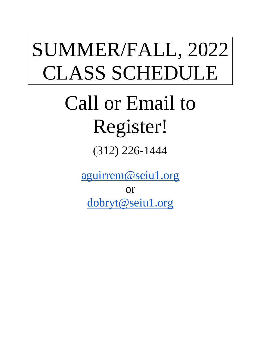# SUMMER/FALL, 2022 CLASS SCHEDULE

# Call or Email to Register!

(312) 226-1444

[aguirrem@seiu1.org](mailto:aguirrem@seiu1.org)

or

[dobryt@seiu1.org](mailto:dobryt@seiu1.org)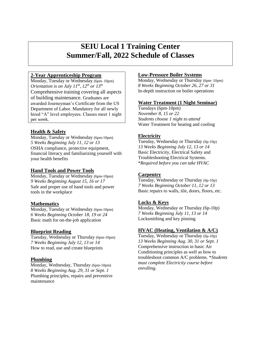# **SEIU Local 1 Training Center Summer/Fall, 2022 Schedule of Classes**

## **2-Year Apprenticeship Program**

Monday, Tuesday or Wednesday (6pm–10pm) *Orientation is on July*  $11^{th}$ *,*  $12^{th}$  *or*  $13^{th}$ Comprehensive training covering all aspects of building maintenance. Graduates are awarded Journeyman's Certificate from the US Department of Labor. Mandatory for all newly hired "A" level employees. Classes meet 1 night per week.

## **Health & Safety**

Monday, Tuesday or Wednesday (6pm-10pm) *5 Weeks Beginning July 11, 12 or 13*  OSHA compliance, protective equipment, financial literacy and familiarizing yourself with your health benefits

## **Hand Tools and Power Tools**

Monday, Tuesday or Wednesday (6pm-10pm) *9 Weeks Beginning August 15, 16 or 17* Safe and proper use of hand tools and power tools in the workplace

## **Mathematics**

Monday, Tuesday or Wednesday (6pm-10pm) *6 Weeks Beginning October 18, 19 or 24* Basic math for on-the-job application

## **Blueprint Reading**

Tuesday, Wednesday or Thursday (6pm-10pm) *7 Weeks Beginning July 12, 13 or 14*  How to read, use and create blueprints

## **Plumbing**

Monday, Wednesday, Thursday (6pm-10pm) *8 Weeks Beginning Aug. 29, 31 or Sept. 1* Plumbing principles, repairs and preventive maintenance

## **Low-Pressure Boiler Systems**

Monday, Wednesday or Thursday (6pm–10pm) *8 Weeks Beginning October 26, 27 or 31*  In-depth instruction on boiler operations

#### **Water Treatment (1 Night Seminar)**

Tuesdays (6pm-10pm) *November 8, 15 or 22 Students choose 1 night to attend* Water Treatment for heating and cooling

## **Electricity**

Tuesday, Wednesday or Thursday (6p-10p) *13 Weeks Beginning July 12, 13 or 14* Basic Electricity, Electrical Safety and Troubleshooting Electrical Systems. \**Required before you can take HVAC*

## **Carpentry**

Tuesday, Wednesday or Thursday (6p-10p) *7 Weeks Beginning October 11, 12 or 13* Basic repairs to walls, tile, doors, floors, etc.

## **Locks & Keys**

Monday, Wednesday or Thursday (6p-10p) *7 Weeks Beginning July 11, 13 or 14*  Locksmithing and key pinning

## **HVAC (Heating, Ventilation & A/C)**

Tuesday, Wednesday or Thursday (6p-10p) *13 Weeks Beginning Aug. 30, 31 or Sept. 1* Comprehensive instruction in basic Air Conditioning principles as well as how to troubleshoot common A/C problems. \**Students must complete Electricity course before enrolling.*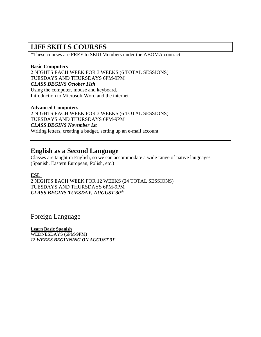## **LIFE SKILLS COURSES**

\*These courses are FREE to SEIU Members under the ABOMA contract

## **Basic Computers**

2 NIGHTS EACH WEEK FOR 3 WEEKS (6 TOTAL SESSIONS) TUESDAYS AND THURSDAYS 6PM-9PM *CLASS BEGINS October 11th* Using the computer, mouse and keyboard. Introduction to Microsoft Word and the internet

## **Advanced Computers**

2 NIGHTS EACH WEEK FOR 3 WEEKS (6 TOTAL SESSIONS) TUESDAYS AND THURSDAYS 6PM-9PM *CLASS BEGINS November 1st*  Writing letters, creating a budget, setting up an e-mail account

## **English as a Second Language**

Classes are taught in English, so we can accommodate a wide range of native languages (Spanish, Eastern European, Polish, etc.)

## **ESL**

2 NIGHTS EACH WEEK FOR 12 WEEKS (24 TOTAL SESSIONS) TUESDAYS AND THURSDAYS 6PM-9PM *CLASS BEGINS TUESDAY, AUGUST 30th*

Foreign Language

**Learn Basic Spanish** WEDNESDAYS (6PM-9PM) *12 WEEKS BEGINNING ON AUGUST 31st*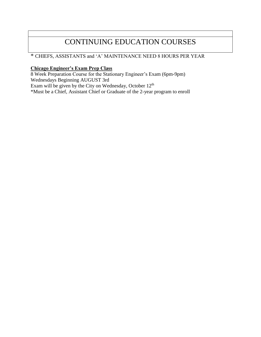# CONTINUING EDUCATION COURSES

## \* CHIEFS, ASSISTANTS and 'A' MAINTENANCE NEED 8 HOURS PER YEAR

## **Chicago Engineer's Exam Prep Class**

8 Week Preparation Course for the Stationary Engineer's Exam (6pm-9pm) Wednesdays Beginning AUGUST 3rd Exam will be given by the City on Wednesday, October 12<sup>th</sup> \*Must be a Chief, Assistant Chief or Graduate of the 2-year program to enroll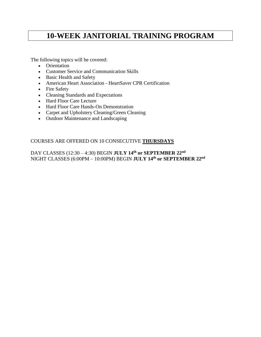# **10-WEEK JANITORIAL TRAINING PROGRAM**

The following topics will be covered:

- Orientation
- Customer Service and Communication Skills
- Basic Health and Safety
- American Heart Association HeartSaver CPR Certification
- Fire Safety
- Cleaning Standards and Expectations
- Hard Floor Care Lecture
- Hard Floor Care Hands-On Demonstration
- Carpet and Upholstery Cleaning/Green Cleaning
- Outdoor Maintenance and Landscaping

## COURSES ARE OFFERED ON 10 CONSECUTIVE **THURSDAYS**

DAY CLASSES (12:30 – 4:30) BEGIN **JULY 14th or SEPTEMBER 22nd** NIGHT CLASSES (6:00PM – 10:00PM) BEGIN **JULY 14th or SEPTEMBER 22nd**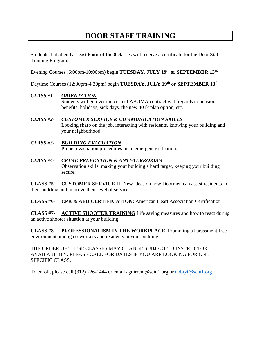# **DOOR STAFF TRAINING**

Students that attend at least **6 out of the 8** classes will receive a certificate for the Door Staff Training Program.

Evening Courses (6:00pm-10:00pm) begin **TUESDAY, JULY 19th or SEPTEMBER 13th**

Daytime Courses (12:30pm-4:30pm) begin **TUESDAY, JULY 19th or SEPTEMBER 13th**

## *CLASS #1- ORIENTATION*

Students will go over the current ABOMA contract with regards to pension, benefits, holidays, sick days, the new 401k plan option, etc.

- *CLASS #2- CUSTOMER SERVICE & COMMUNICATION SKILLS* Looking sharp on the job, interacting with residents, knowing your building and your neighborhood.
- *CLASS #3- BUILDING EVACUATION* Proper evacuation procedures in an emergency situation.
- *CLASS #4- CRIME PREVENTION & ANTI-TERRORISM* Observation skills, making your building a hard target, keeping your building secure.

**CLASS #5- CUSTOMER SERVICE II**- New ideas on how Doormen can assist residents in their building and improve their level of service.

**CLASS #6- CPR & AED CERTIFICATION:** American Heart Association Certification

**CLASS #7- ACTIVE SHOOTER TRAINING** Life saving measures and how to react during an active shooter situation at your building

**CLASS #8- PROFESSIONALISM IN THE WORKPLACE** Promoting a harassment-free environment among co-workers and residents in your building

THE ORDER OF THESE CLASSES MAY CHANGE SUBJECT TO INSTRUCTOR AVAILABILITY. PLEASE CALL FOR DATES IF YOU ARE LOOKING FOR ONE SPECIFIC CLASS.

To enroll, please call (312) 226-1444 or email aguirrem@seiu1.org or [dobryt@seiu1.org](mailto:dobryt@seiu1.org)